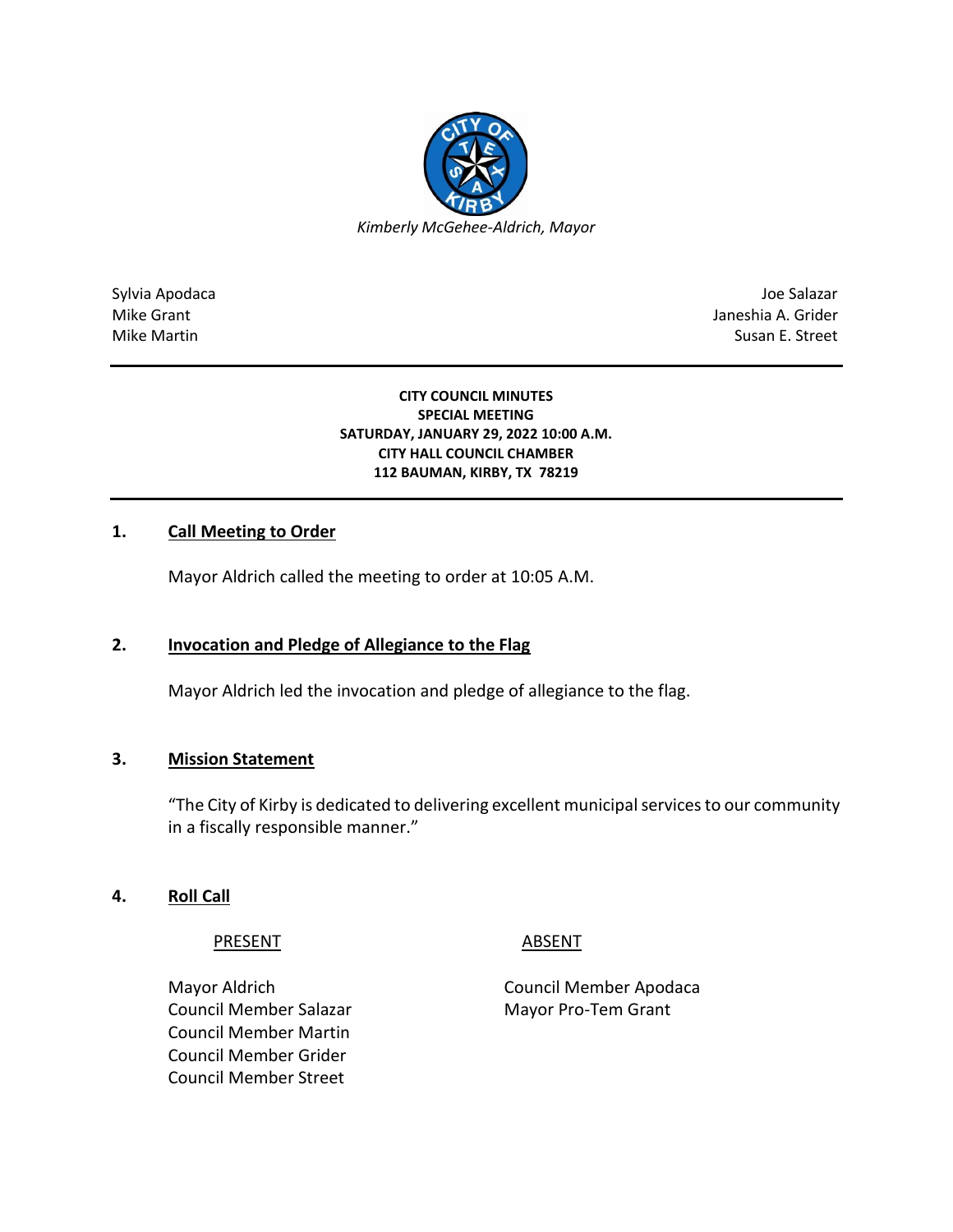

Sylvia Apodaca Joe Salazar Joe Salazar Joe Salazar Joe Salazar Joe Salazar Joe Salazar Joe Salazar Joe Salazar Mike Grant **Janeshia A. Grider** Mike Grant Janeshia A. Grider Mike Martin Susan E. Street

#### **CITY COUNCIL MINUTES SPECIAL MEETING SATURDAY, JANUARY 29, 2022 10:00 A.M. CITY HALL COUNCIL CHAMBER 112 BAUMAN, KIRBY, TX 78219**

### **1. Call Meeting to Order**

Mayor Aldrich called the meeting to order at 10:05 A.M.

### **2. Invocation and Pledge of Allegiance to the Flag**

Mayor Aldrich led the invocation and pledge of allegiance to the flag.

### **3. Mission Statement**

"The City of Kirby is dedicated to delivering excellent municipal services to our community in a fiscally responsible manner."

### **4. Roll Call**

PRESENT ABSENT

Council Member Salazar Mayor Pro-Tem Grant Council Member Martin Council Member Grider Council Member Street

Mayor Aldrich Council Member Apodaca